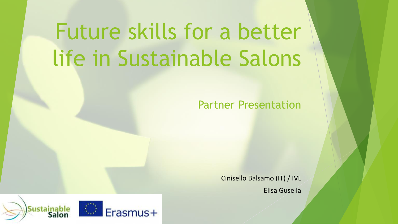# Future skills for a better life in Sustainable Salons

# Partner Presentation

Cinisello Balsamo (IT) / IVL Elisa Gusella

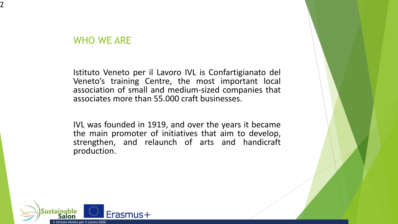#### WHO WE ARE

2

Istituto Veneto per il Lavoro IVL is Confartigianato del Veneto's training Centre, the most important local association of small and medium-sized companies that associates more than 55.000 craft businesses.

IVL was founded in 1919, and over the years it became the main promoter of initiatives that aim to develop, strengthen, and relaunch of arts and handicraft production.

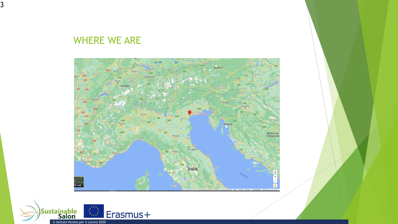WHERE WE ARE

3



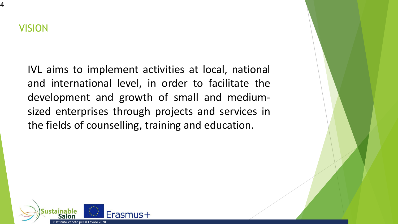4

IVL aims to implement activities at local, national and international level, in order to facilitate the development and growth of small and mediumsized enterprises through projects and services in the fields of counselling, training and education.

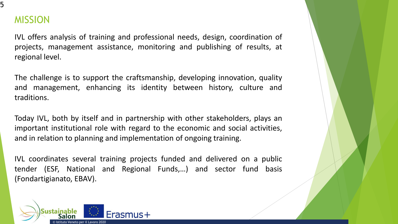

### MISSION

IVL offers analysis of training and professional needs, design, coordination of projects, management assistance, monitoring and publishing of results, at regional level.

The challenge is to support the craftsmanship, developing innovation, quality and management, enhancing its identity between history, culture and traditions.

Today IVL, both by itself and in partnership with other stakeholders, plays an important institutional role with regard to the economic and social activities, and in relation to planning and implementation of ongoing training.

IVL coordinates several training projects funded and delivered on a public tender (ESF, National and Regional Funds,…) and sector fund basis (Fondartigianato, EBAV).

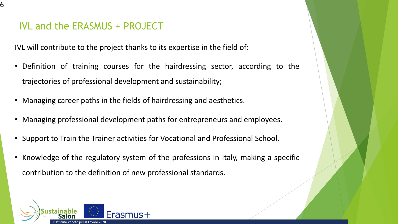#### IVL and the ERASMUS + PROJECT

6

IVL will contribute to the project thanks to its expertise in the field of:

- Definition of training courses for the hairdressing sector, according to the trajectories of professional development and sustainability;
- Managing career paths in the fields of hairdressing and aesthetics.
- Managing professional development paths for entrepreneurs and employees.
- Support to Train the Trainer activities for Vocational and Professional School.
- Knowledge of the regulatory system of the professions in Italy, making a specific contribution to the definition of new professional standards.

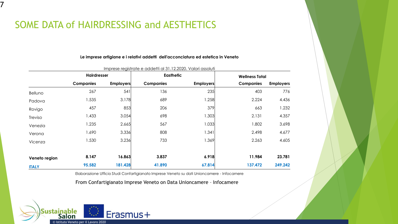## SOME DATA of HAIRDRESSING and AESTHETICS

7

#### **Le imprese artigiane e i relativi addetti dell'acconciatura ed estetica in Veneto**

|               | <b>Hairdresser</b> |                  | <b>Easthetic</b> |                  | <b>Wellness Total</b> |                  |
|---------------|--------------------|------------------|------------------|------------------|-----------------------|------------------|
|               | <b>Companies</b>   | <b>Employers</b> | <b>Companies</b> | <b>Employers</b> | <b>Companies</b>      | <b>Employers</b> |
| Belluno       | 267                | 541              | 136              | 235              | 403                   | 776              |
| Padova        | 1.535              | 3.178            | 689              | 1.258            | 2.224                 | 4.436            |
| Rovigo        | 457                | 853              | 206              | 379              | 663                   | 1.232            |
| Treviso       | 1.433              | 3.054            | 698              | 1.303            | 2.131                 | 4.357            |
| Venezia       | 1.235              | 2.665            | 567              | 1.033            | 1.802                 | 3.698            |
| Verona        | <b>1.690</b>       | 3.336            | 808              | 1.341            | 2.498                 | 4.677            |
| Vicenza       | 1.530              | 3.236            | 733              | 1.369            | 2.263                 | 4.605            |
| Veneto region | 8.147              | 16.863           | 3.837            | 6.918            | 11.984                | 23.781           |
| <b>ITALY</b>  | 95.582             | 181.428          | 41.890           | 67.814           | 137.472               | 249.242          |

Imprese registrate e addetti al 31.12.2020. Valori assoluti

Elaborazione Ufficio Studi Confartigianato Imprese Veneto su dati Unioncamere - Infocamere

From Confartigianato Imprese Veneto on Data Unioncamere – Infocamere

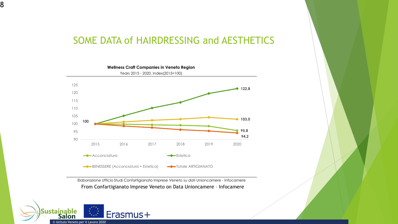#### SOME DATA of HAIRDRESSING and AESTHETICS



Elaborazione Ufficio Studi Confartigianato Imprese Veneto su dati Unioncamere - Infocamere From Confartigianato Imprese Veneto on Data Unioncamere – Infocamere



8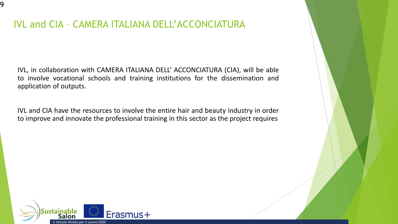# IVL and CIA – CAMERA ITALIANA DELL'ACCONCIATURA

IVL, in collaboration with CAMERA ITALIANA DELL' ACCONCIATURA (CIA), will be able to involve vocational schools and training institutions for the dissemination and application of outputs.

IVL and CIA have the resources to involve the entire hair and beauty industry in order to improve and innovate the professional training in this sector as the project requires



9